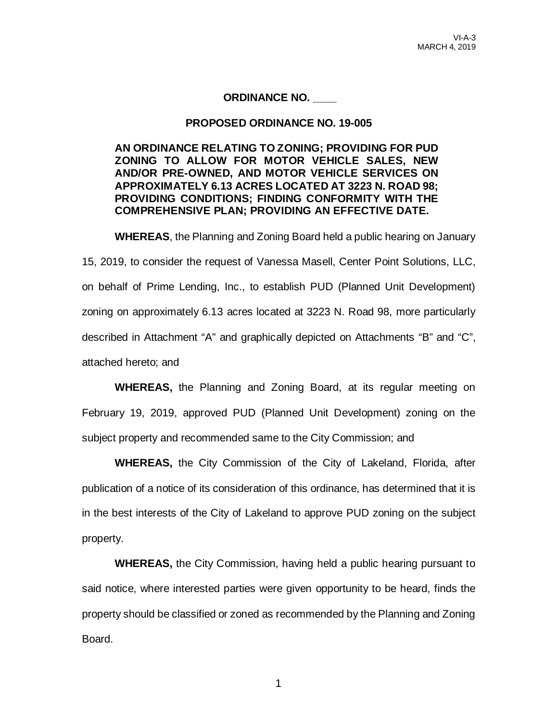### **ORDINANCE NO. \_\_\_\_**

#### **PROPOSED ORDINANCE NO. 19-005**

**AN ORDINANCE RELATING TO ZONING; PROVIDING FOR PUD ZONING TO ALLOW FOR MOTOR VEHICLE SALES, NEW AND/OR PRE-OWNED, AND MOTOR VEHICLE SERVICES ON APPROXIMATELY 6.13 ACRES LOCATED AT 3223 N. ROAD 98; PROVIDING CONDITIONS; FINDING CONFORMITY WITH THE COMPREHENSIVE PLAN; PROVIDING AN EFFECTIVE DATE.**

**WHEREAS**, the Planning and Zoning Board held a public hearing on January 15, 2019, to consider the request of Vanessa Masell, Center Point Solutions, LLC, on behalf of Prime Lending, Inc., to establish PUD (Planned Unit Development) zoning on approximately 6.13 acres located at 3223 N. Road 98, more particularly described in Attachment "A" and graphically depicted on Attachments "B" and "C", attached hereto; and

**WHEREAS,** the Planning and Zoning Board, at its regular meeting on February 19, 2019, approved PUD (Planned Unit Development) zoning on the subject property and recommended same to the City Commission; and

**WHEREAS,** the City Commission of the City of Lakeland, Florida, after publication of a notice of its consideration of this ordinance, has determined that it is in the best interests of the City of Lakeland to approve PUD zoning on the subject property.

**WHEREAS,** the City Commission, having held a public hearing pursuant to said notice, where interested parties were given opportunity to be heard, finds the property should be classified or zoned as recommended by the Planning and Zoning Board.

1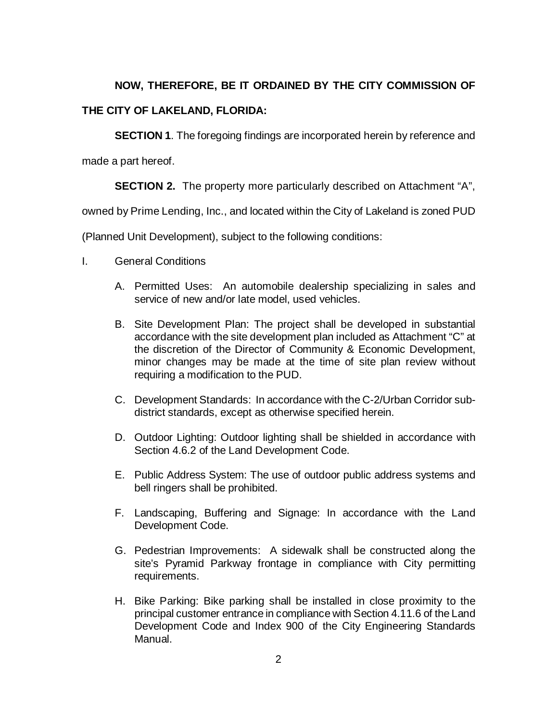# **NOW, THEREFORE, BE IT ORDAINED BY THE CITY COMMISSION OF**

## **THE CITY OF LAKELAND, FLORIDA:**

**SECTION 1.** The foregoing findings are incorporated herein by reference and

made a part hereof.

**SECTION 2.** The property more particularly described on Attachment "A",

owned by Prime Lending, Inc., and located within the City of Lakeland is zoned PUD

(Planned Unit Development), subject to the following conditions:

- I. General Conditions
	- A. Permitted Uses: An automobile dealership specializing in sales and service of new and/or late model, used vehicles.
	- B. Site Development Plan: The project shall be developed in substantial accordance with the site development plan included as Attachment "C" at the discretion of the Director of Community & Economic Development, minor changes may be made at the time of site plan review without requiring a modification to the PUD.
	- C. Development Standards: In accordance with the C-2/Urban Corridor subdistrict standards, except as otherwise specified herein.
	- D. Outdoor Lighting: Outdoor lighting shall be shielded in accordance with Section 4.6.2 of the Land Development Code.
	- E. Public Address System: The use of outdoor public address systems and bell ringers shall be prohibited.
	- F. Landscaping, Buffering and Signage: In accordance with the Land Development Code.
	- G. Pedestrian Improvements: A sidewalk shall be constructed along the site's Pyramid Parkway frontage in compliance with City permitting requirements.
	- H. Bike Parking: Bike parking shall be installed in close proximity to the principal customer entrance in compliance with Section 4.11.6 of the Land Development Code and Index 900 of the City Engineering Standards Manual.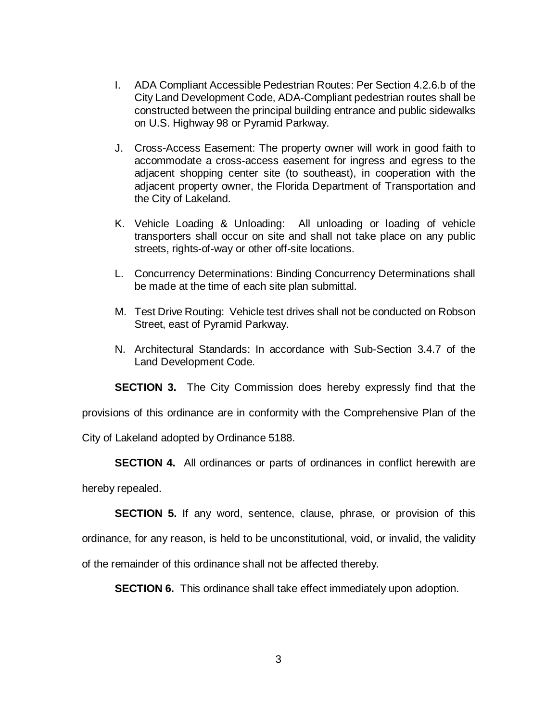- I. ADA Compliant Accessible Pedestrian Routes: Per Section 4.2.6.b of the City Land Development Code, ADA-Compliant pedestrian routes shall be constructed between the principal building entrance and public sidewalks on U.S. Highway 98 or Pyramid Parkway.
- J. Cross-Access Easement: The property owner will work in good faith to accommodate a cross-access easement for ingress and egress to the adjacent shopping center site (to southeast), in cooperation with the adjacent property owner, the Florida Department of Transportation and the City of Lakeland.
- K. Vehicle Loading & Unloading: All unloading or loading of vehicle transporters shall occur on site and shall not take place on any public streets, rights-of-way or other off-site locations.
- L. Concurrency Determinations: Binding Concurrency Determinations shall be made at the time of each site plan submittal.
- M. Test Drive Routing: Vehicle test drives shall not be conducted on Robson Street, east of Pyramid Parkway.
- N. Architectural Standards: In accordance with Sub-Section 3.4.7 of the Land Development Code.

**SECTION 3.** The City Commission does hereby expressly find that the

provisions of this ordinance are in conformity with the Comprehensive Plan of the

City of Lakeland adopted by Ordinance 5188.

**SECTION 4.** All ordinances or parts of ordinances in conflict herewith are

hereby repealed.

**SECTION 5.** If any word, sentence, clause, phrase, or provision of this ordinance, for any reason, is held to be unconstitutional, void, or invalid, the validity of the remainder of this ordinance shall not be affected thereby.

**SECTION 6.** This ordinance shall take effect immediately upon adoption.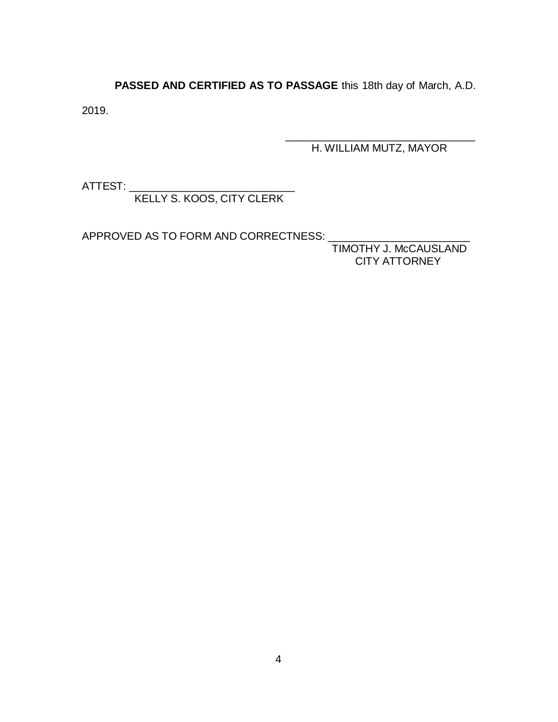**PASSED AND CERTIFIED AS TO PASSAGE** this 18th day of March, A.D.

2019.

\_\_\_\_\_\_\_\_\_\_\_\_\_\_\_\_\_\_\_\_\_\_\_\_\_\_\_\_\_\_\_\_ H. WILLIAM MUTZ, MAYOR

ATTEST:

KELLY S. KOOS, CITY CLERK

APPROVED AS TO FORM AND CORRECTNESS:

TIMOTHY J. McCAUSLAND CITY ATTORNEY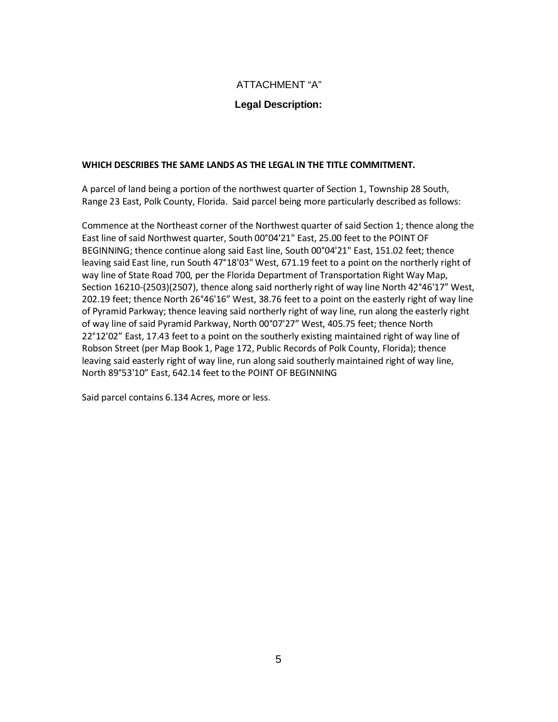#### ATTACHMENT "A"

#### **Legal Description:**

#### **WHICH DESCRIBES THE SAME LANDS AS THE LEGAL IN THE TITLE COMMITMENT.**

A parcel of land being a portion of the northwest quarter of Section 1, Township 28 South, Range 23 East, Polk County, Florida. Said parcel being more particularly described as follows:

Commence at the Northeast corner of the Northwest quarter of said Section 1; thence along the East line of said Northwest quarter, South 00°04'21" East, 25.00 feet to the POINT OF BEGINNING; thence continue along said East line, South 00°04'21" East, 151.02 feet; thence leaving said East line, run South 47°18'03" West, 671.19 feet to a point on the northerly right of way line of State Road 700, per the Florida Department of Transportation Right Way Map, Section 16210-(2503)(2507), thence along said northerly right of way line North 42°46'17" West, 202.19 feet; thence North 26°46'16" West, 38.76 feet to a point on the easterly right of way line of Pyramid Parkway; thence leaving said northerly right of way line, run along the easterly right of way line of said Pyramid Parkway, North 00°07'27" West, 405.75 feet; thence North 22°12'02" East, 17.43 feet to a point on the southerly existing maintained right of way line of Robson Street (per Map Book 1, Page 172, Public Records of Polk County, Florida); thence leaving said easterly right of way line, run along said southerly maintained right of way line, North 89°53'10" East, 642.14 feet to the POINT OF BEGINNING

Said parcel contains 6.134 Acres, more or less.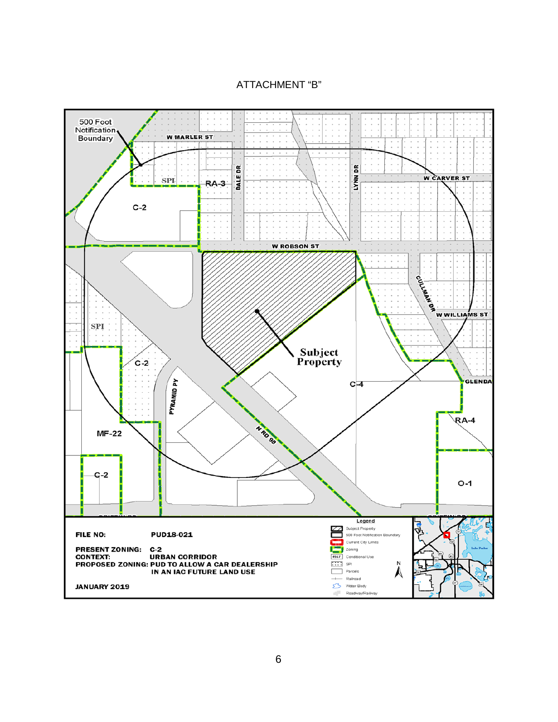ATTACHMENT "B"